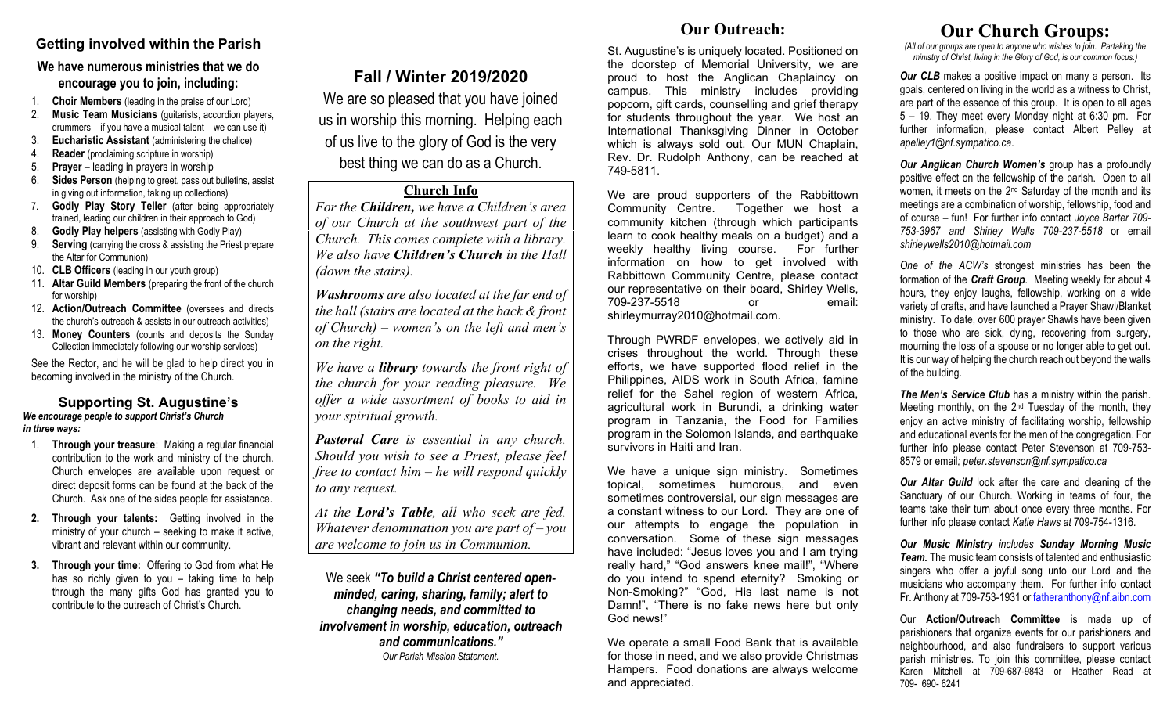## **Getting involved within the Parish**

### **We have numerous ministries that we do encourage you to join, including:**

- 1. **Choir Members** (leading in the praise of our Lord)
- 2. **Music Team Musicians** (guitarists, accordion players, drummers – if you have a musical talent – we can use it)
- 3. **Eucharistic Assistant** (administering the chalice)
- 4. **Reader** (proclaiming scripture in worship)
- 5. **Prayer** leading in prayers in worship
- 6. **Sides Person** (helping to greet, pass out bulletins, assist in giving out information, taking up collections)
- 7. **Godly Play Story Teller** (after being appropriately trained, leading our children in their approach to God)
- 8. **Godly Play helpers** (assisting with Godly Play)
- 9. **Serving** (carrying the cross & assisting the Priest prepare the Altar for Communion)
- 10. **CLB Officers** (leading in our youth group)
- 11. **Altar Guild Members** (preparing the front of the church for worship)
- 12. **Action/Outreach Committee** (oversees and directs the church's outreach & assists in our outreach activities)
- 13. **Money Counters** (counts and deposits the Sunday Collection immediately following our worship services)

See the Rector, and he will be glad to help direct you in becoming involved in the ministry of the Church.

#### **Supporting St. Augustine's** *We encourage people to support Christ's Church in three ways:*

- 1. **Through your treasure**: Making a regular financial contribution to the work and ministry of the church. Church envelopes are available upon request or direct deposit forms can be found at the back of the Church. Ask one of the sides people for assistance.
- **2. Through your talents:** Getting involved in the ministry of your church – seeking to make it active, vibrant and relevant within our community.
- **3. Through your time:** Offering to God from what He has so richly given to you – taking time to help through the many gifts God has granted you to contribute to the outreach of Christ's Church.

# **Fall / Winter 2019/2020** We are so pleased that you have joined us in worship this morning. Helping each of us live to the glory of God is the very best thing we can do as a Church.

### **Church Info**

*For the Children, we have a Children's area of our Church at the southwest part of the Church. This comes complete with a library. We also have Children's Church in the Hall (down the stairs).*

*Washrooms are also located at the far end of the hall (stairs are located at the back & front of Church) – women's on the left and men's on the right.*

*We have a library towards the front right of the church for your reading pleasure. We offer a wide assortment of books to aid in your spiritual growth.*

*Pastoral Care is essential in any church. Should you wish to see a Priest, please feel free to contact him – he will respond quickly to any request.*

*At the Lord's Table, all who seek are fed. Whatever denomination you are part of – you are welcome to join us in Communion.*

We seek *"To build a Christ centered openminded, caring, sharing, family; alert to changing needs, and committed to involvement in worship, education, outreach and communications." Our Parish Mission Statement.*

# **Our Outreach:**

St. Augustine's is uniquely located. Positioned on the doorstep of Memorial University, we are proud to host the Anglican Chaplaincy on campus. This ministry includes providing popcorn, gift cards, counselling and grief therapy for students throughout the year. We host an International Thanksgiving Dinner in October which is always sold out. Our MUN Chaplain, Rev. Dr. Rudolph Anthony, can be reached at 749-5811.

We are proud supporters of the Rabbittown Community Centre. Together we host a community kitchen (through which participants learn to cook healthy meals on a budget) and a weekly healthy living course. For further information on how to get involved with Rabbittown Community Centre, please contact our representative on their board, Shirley Wells, 709-237-5518 or email: shirleymurray2010@hotmail.com.

Through PWRDF envelopes, we actively aid in crises throughout the world. Through these efforts, we have supported flood relief in the Philippines, AIDS work in South Africa, famine relief for the Sahel region of western Africa, agricultural work in Burundi, a drinking water program in Tanzania, the Food for Families program in the Solomon Islands, and earthquake survivors in Haiti and Iran.

We have a unique sign ministry. Sometimes topical, sometimes humorous, and even sometimes controversial, our sign messages are a constant witness to our Lord. They are one of our attempts to engage the population in conversation. Some of these sign messages have included: "Jesus loves you and I am trying really hard," "God answers knee mail!", "Where do you intend to spend eternity? Smoking or Non-Smoking?" "God, His last name is not Damn!", "There is no fake news here but only God news!"

We operate a small Food Bank that is available for those in need, and we also provide Christmas Hampers. Food donations are always welcome and appreciated.

# **Our Church Groups:**

*(All of our groups are open to anyone who wishes to join. Partaking the ministry of Christ, living in the Glory of God, is our common focus.)*

*Our CLB* makes a positive impact on many a person. Its goals, centered on living in the world as a witness to Christ, are part of the essence of this group. It is open to all ages 5 – 19. They meet every Monday night at 6:30 pm. For further information, please contact Albert Pelley at *apelley1@nf.sympatico.ca*.

*Our Anglican Church Women's* group has a profoundly positive effect on the fellowship of the parish. Open to all women, it meets on the 2<sup>nd</sup> Saturday of the month and its meetings are a combination of worship, fellowship, food and of course – fun! For further info contact *Joyce Barter 709- 753-3967 and Shirley Wells 709-237-5518* or email *shirleywells2010@hotmail.com*

*One of the ACW's* strongest ministries has been the formation of the *Craft Group.* Meeting weekly for about 4 hours, they enjoy laughs, fellowship, working on a wide variety of crafts, and have launched a Prayer Shawl/Blanket ministry. To date, over 600 prayer Shawls have been given to those who are sick, dying, recovering from surgery, mourning the loss of a spouse or no longer able to get out. It is our way of helping the church reach out beyond the walls of the building.

*The Men's Service Club* has a ministry within the parish. Meeting monthly, on the 2<sup>nd</sup> Tuesday of the month, they enjoy an active ministry of facilitating worship, fellowship and educational events for the men of the congregation. For further info please contact Peter Stevenson at 709-753- 8579 or email*; peter.stevenson@nf.sympatico.ca*

*Our Altar Guild* look after the care and cleaning of the Sanctuary of our Church. Working in teams of four, the teams take their turn about once every three months. For further info please contact *Katie Haws at* 709-754-1316.

#### *Our Music Ministry includes Sunday Morning Music Team.* The music team consists of talented and enthusiastic singers who offer a joyful song unto our Lord and the musicians who accompany them*.* For further info contact Fr. Anthony at 709-753-1931 o[r fatheranthony@nf.aibn.com](mailto:fatheranthony@nf.aibn.com)

Our **Action/Outreach Committee** is made up of parishioners that organize events for our parishioners and neighbourhood, and also fundraisers to support various parish ministries. To join this committee, please contact Karen Mitchell at 709-687-9843 or Heather Read at 709- 690- 6241